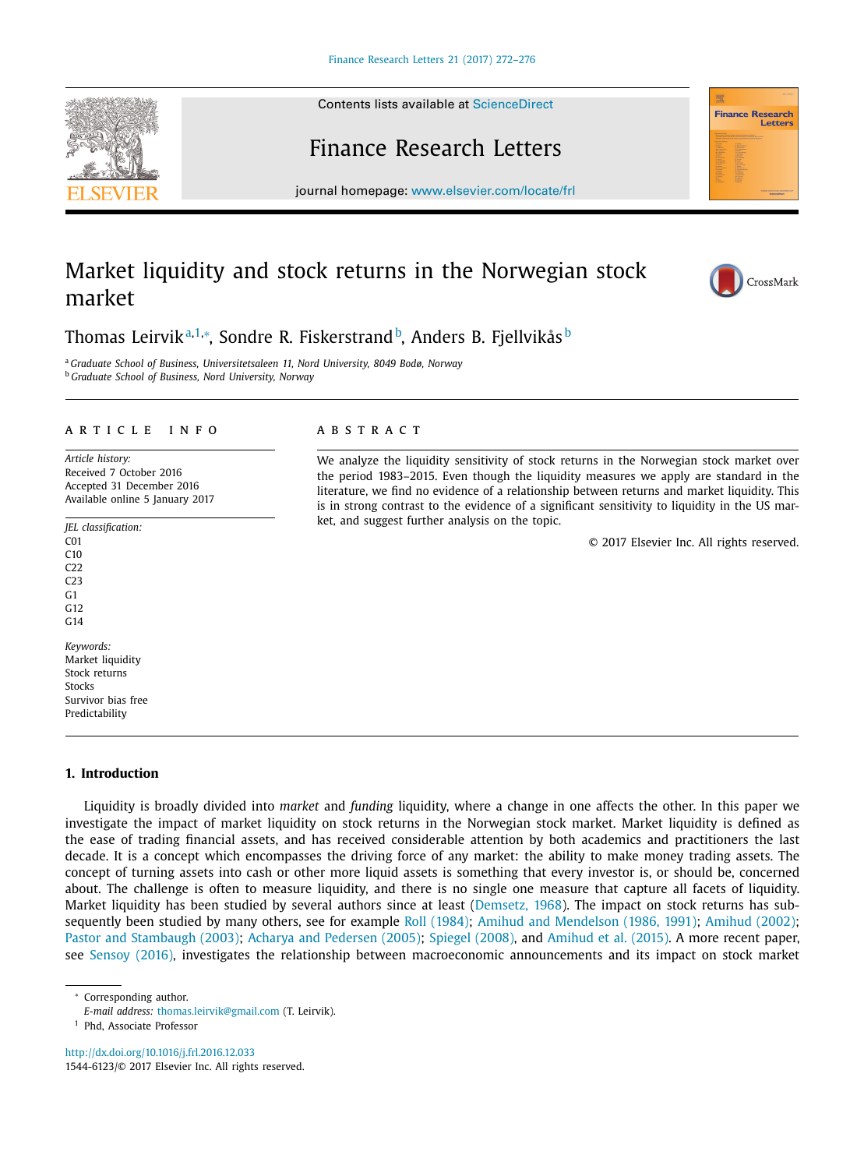Contents lists available at [ScienceDirect](http://www.ScienceDirect.com)

# Finance Research Letters

journal homepage: [www.elsevier.com/locate/frl](http://www.elsevier.com/locate/frl)

# Market liquidity and stock returns in the Norwegian stock market



<sup>a</sup> *Graduate School of Business, Universitetsaleen 11, Nord University, 8049 Bodø, Norway* <sup>b</sup> *Graduate School of Business, Nord University, Norway*

### a r t i c l e i n f o

*Article history:* Received 7 October 2016 Accepted 31 December 2016 Available online 5 January 2017

*JEL classification:* C01 C10 C22  $C23$ G1 G12  $C<sub>14</sub>$ *Keywords:* Market liquidity Stock returns Stocks

Survivor bias free Predictability

## **1. Introduction**

Liquidity is broadly divided into *market* and *funding* liquidity, where a change in one affects the other. In this paper we investigate the impact of market liquidity on stock returns in the Norwegian stock market. Market liquidity is defined as the ease of trading financial assets, and has received considerable attention by both academics and practitioners the last decade. It is a concept which encompasses the driving force of any market: the ability to make money trading assets. The concept of turning assets into cash or other more liquid assets is something that every investor is, or should be, concerned about. The challenge is often to measure liquidity, and there is no single one measure that capture all facets of liquidity. Market liquidity has been studied by several authors since at least [\(Demsetz,](#page--1-0) 1968). The impact on stock returns has subsequently been studied by many others, see for example Roll [\(1984\);](#page--1-0) Amihud and [Mendelson](#page--1-0) (1986, 1991); [Amihud](#page--1-0) (2002); Pastor and [Stambaugh](#page--1-0) (2003); Acharya and [Pedersen](#page--1-0) (2005); [Spiegel](#page--1-0) (2008), and [Amihud](#page--1-0) et al. (2015). A more recent paper, see [Sensoy](#page--1-0) (2016), investigates the relationship between macroeconomic announcements and its impact on stock market

Corresponding author.

<http://dx.doi.org/10.1016/j.frl.2016.12.033> 1544-6123/© 2017 Elsevier Inc. All rights reserved.





**Finance Research** Letter





We analyze the liquidity sensitivity of stock returns in the Norwegian stock market over the period 1983–2015. Even though the liquidity measures we apply are standard in the literature, we find no evidence of a relationship between returns and market liquidity. This is in strong contrast to the evidence of a significant sensitivity to liquidity in the US market, and suggest further analysis on the topic.

© 2017 Elsevier Inc. All rights reserved.

*E-mail address:* [thomas.leirvik@gmail.com](mailto:thomas.leirvik@gmail.com) (T. Leirvik).

<sup>1</sup> Phd, Associate Professor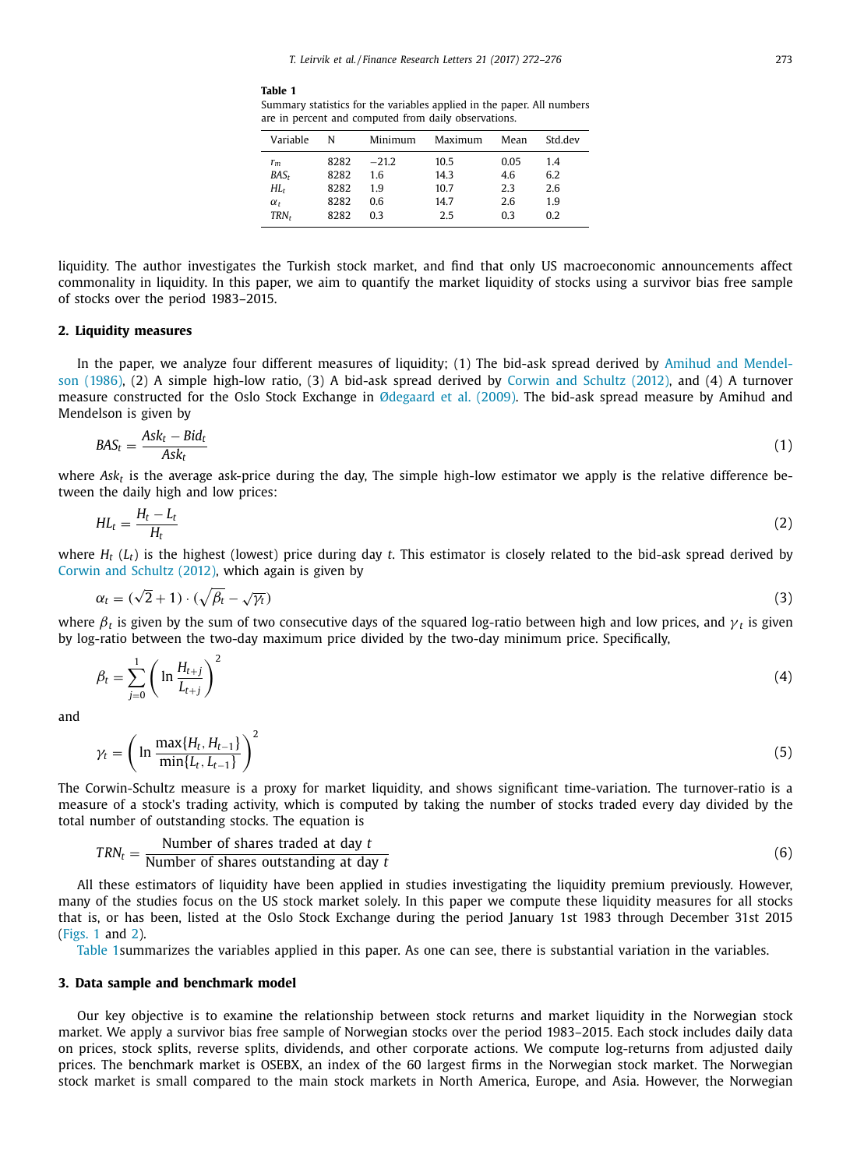**Table 1**

Summary statistics for the variables applied in the paper. All numbers are in percent and computed from daily observations.

| Variable         | N    | Minimum | Maximum | Mean | Std dev |
|------------------|------|---------|---------|------|---------|
| $r_m$            | 8282 | $-21.2$ | 10.5    | 0.05 | 1.4     |
| $BAS_r$          | 8282 | 1.6     | 14.3    | 4.6  | 6.2     |
| HL               | 8282 | 19      | 10.7    | 2.3  | 2.6     |
| $\alpha_{t}$     | 8282 | 0.6     | 14.7    | 2.6  | 1.9     |
| TRN <sub>r</sub> | 8282 | 03      | 2.5     | 0.3  | 0.2     |
|                  |      |         |         |      |         |

liquidity. The author investigates the Turkish stock market, and find that only US macroeconomic announcements affect commonality in liquidity. In this paper, we aim to quantify the market liquidity of stocks using a survivor bias free sample of stocks over the period 1983–2015.

### **2. Liquidity measures**

In the paper, we analyze four different [measures](#page--1-0) of liquidity; (1) The bid-ask spread derived by Amihud and Mendelson (1986), (2) A simple high-low ratio, (3) A bid-ask spread derived by Corwin and [Schultz](#page--1-0) (2012), and (4) A turnover measure constructed for the Oslo Stock Exchange in [Ødegaard](#page--1-0) et al. (2009). The bid-ask spread measure by Amihud and Mendelson is given by

$$
BAS_t = \frac{Ask_t - Bid_t}{Ask_t} \tag{1}
$$

where *Askt* is the average ask-price during the day, The simple high-low estimator we apply is the relative difference between the daily high and low prices:

$$
HL_t = \frac{H_t - L_t}{H_t} \tag{2}
$$

where  $H_t(L_t)$  is the highest (lowest) price during day  $t$ . This estimator is closely related to the bid-ask spread derived by Corwin and [Schultz](#page--1-0) (2012), which again is given by

$$
\alpha_t = (\sqrt{2} + 1) \cdot (\sqrt{\beta_t} - \sqrt{\gamma_t}) \tag{3}
$$

where  $\beta_t$  is given by the sum of two consecutive days of the squared log-ratio between high and low prices, and  $\gamma_t$  is given by log-ratio between the two-day maximum price divided by the two-day minimum price. Specifically,

$$
\beta_t = \sum_{j=0}^1 \left( \ln \frac{H_{t+j}}{L_{t+j}} \right)^2 \tag{4}
$$

and

$$
\gamma_t = \left(\ln \frac{\max\{H_t, H_{t-1}\}}{\min\{L_t, L_{t-1}\}}\right)^2\tag{5}
$$

The Corwin-Schultz measure is a proxy for market liquidity, and shows significant time-variation. The turnover-ratio is a measure of a stock's trading activity, which is computed by taking the number of stocks traded every day divided by the total number of outstanding stocks. The equation is

$$
TRN_t = \frac{\text{Number of shares traded at day } t}{\text{Number of shares outstanding at day } t}
$$
 (6)

All these estimators of liquidity have been applied in studies investigating the liquidity premium previously. However, many of the studies focus on the US stock market solely. In this paper we compute these liquidity measures for all stocks that is, or has been, listed at the Oslo Stock Exchange during the period January 1st 1983 through December 31st 2015 [\(Figs.](#page--1-0) 1 and [2\)](#page--1-0).

Table 1summarizes the variables applied in this paper. As one can see, there is substantial variation in the variables.

#### **3. Data sample and benchmark model**

Our key objective is to examine the relationship between stock returns and market liquidity in the Norwegian stock market. We apply a survivor bias free sample of Norwegian stocks over the period 1983–2015. Each stock includes daily data on prices, stock splits, reverse splits, dividends, and other corporate actions. We compute log-returns from adjusted daily prices. The benchmark market is OSEBX, an index of the 60 largest firms in the Norwegian stock market. The Norwegian stock market is small compared to the main stock markets in North America, Europe, and Asia. However, the Norwegian